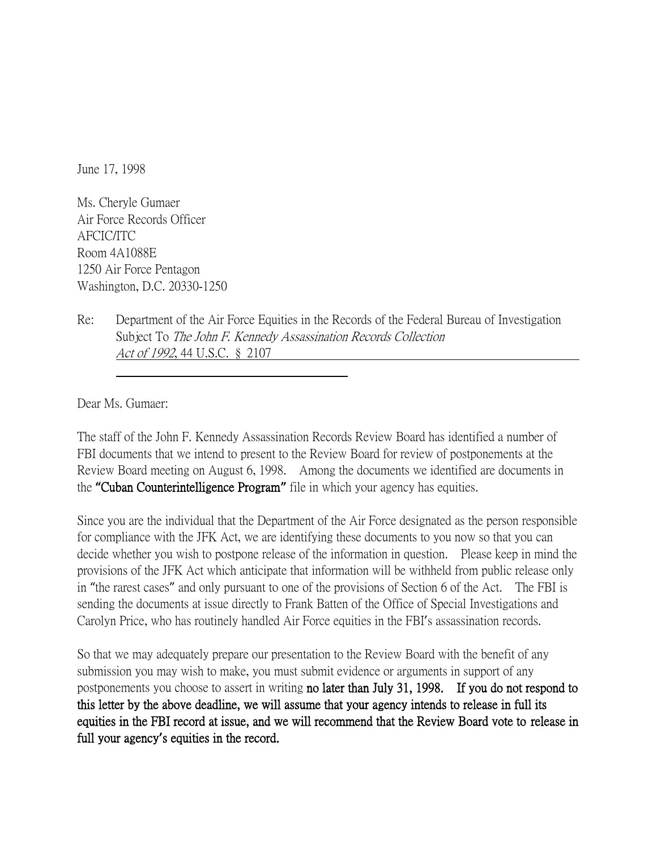June 17, 1998

Ms. Cheryle Gumaer Air Force Records Officer AFCIC/ITC Room 4A1088E 1250 Air Force Pentagon Washington, D.C. 20330-1250

Re: Department of the Air Force Equities in the Records of the Federal Bureau of Investigation Subject To The John F. Kennedy Assassination Records Collection Act of 1992, 44 U.S.C. § 2107

Dear Ms. Gumaer:

The staff of the John F. Kennedy Assassination Records Review Board has identified a number of FBI documents that we intend to present to the Review Board for review of postponements at the Review Board meeting on August 6, 1998. Among the documents we identified are documents in the **"**Cuban Counterintelligence Program**"** file in which your agency has equities.

Since you are the individual that the Department of the Air Force designated as the person responsible for compliance with the JFK Act, we are identifying these documents to you now so that you can decide whether you wish to postpone release of the information in question. Please keep in mind the provisions of the JFK Act which anticipate that information will be withheld from public release only in "the rarest cases" and only pursuant to one of the provisions of Section 6 of the Act. The FBI is sending the documents at issue directly to Frank Batten of the Office of Special Investigations and Carolyn Price, who has routinely handled Air Force equities in the FBI's assassination records.

So that we may adequately prepare our presentation to the Review Board with the benefit of any submission you may wish to make, you must submit evidence or arguments in support of any postponements you choose to assert in writing no later than July 31, 1998. If you do not respond to this letter by the above deadline, we will assume that your agency intends to release in full its equities in the FBI record at issue, and we will recommend that the Review Board vote to release in full your agency**'**s equities in the record.